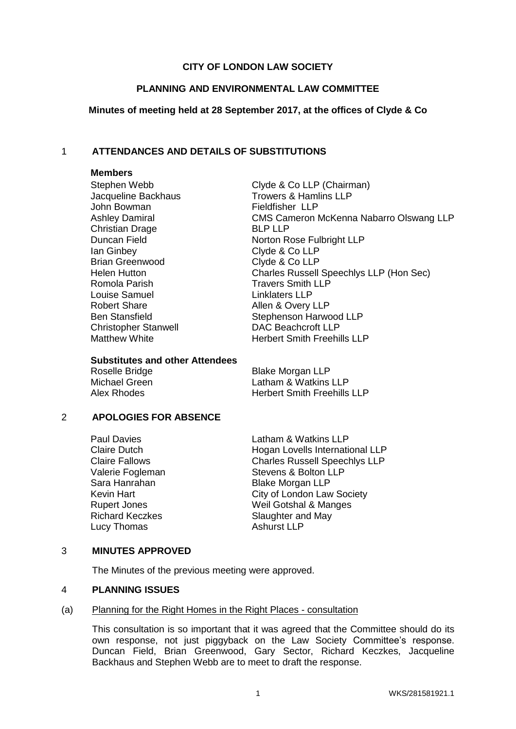# **CITY OF LONDON LAW SOCIETY**

## **PLANNING AND ENVIRONMENTAL LAW COMMITTEE**

## **Minutes of meeting held at 28 September 2017, at the offices of Clyde & Co**

# 1 **ATTENDANCES AND DETAILS OF SUBSTITUTIONS**

#### **Members**

John Bowman **Fieldfisher** LLP Christian Drage BLP LLP Ian Ginbey Clyde & Co LLP<br>Brian Greenwood Clyde & Co LLP Brian Greenwood Romola Parish Travers Smith LLP Louise Samuel Linklaters LLP Robert Share **Allen & Overy LLP** Christopher Stanwell DAC Beachcroft LLP

Stephen Webb Clyde & Co LLP (Chairman) Jacqueline Backhaus Trowers & Hamlins LLP Ashley Damiral CMS Cameron McKenna Nabarro Olswang LLP Duncan Field Norton Rose Fulbright LLP Helen Hutton Charles Russell Speechlys LLP (Hon Sec) Ben Stansfield Stephenson Harwood LLP Matthew White **Herbert Smith Freehills LLP** 

#### **Substitutes and other Attendees**

Roselle Bridge Blake Morgan LLP Michael Green Latham & Watkins LLP<br>Alex Rhodes Contract Herbert Smith Freehills

**Herbert Smith Freehills LLP** 

## 2 **APOLOGIES FOR ABSENCE**

Lucy Thomas Ashurst LLP

Paul Davies **Latham & Watkins LLP** Claire Dutch **Hogan Lovells International LLP**<br>Claire Fallows Charles Russell Speechlys LLP Charles Russell Speechlys LLP Valerie Fogleman Stevens & Bolton LLP Sara Hanrahan Blake Morgan LLP Kevin Hart **City of London Law Society** Rupert Jones Weil Gotshal & Manges Richard Keczkes Slaughter and May

# 3 **MINUTES APPROVED**

The Minutes of the previous meeting were approved.

## 4 **PLANNING ISSUES**

## (a) Planning for the Right Homes in the Right Places - consultation

This consultation is so important that it was agreed that the Committee should do its own response, not just piggyback on the Law Society Committee's response. Duncan Field, Brian Greenwood, Gary Sector, Richard Keczkes, Jacqueline Backhaus and Stephen Webb are to meet to draft the response.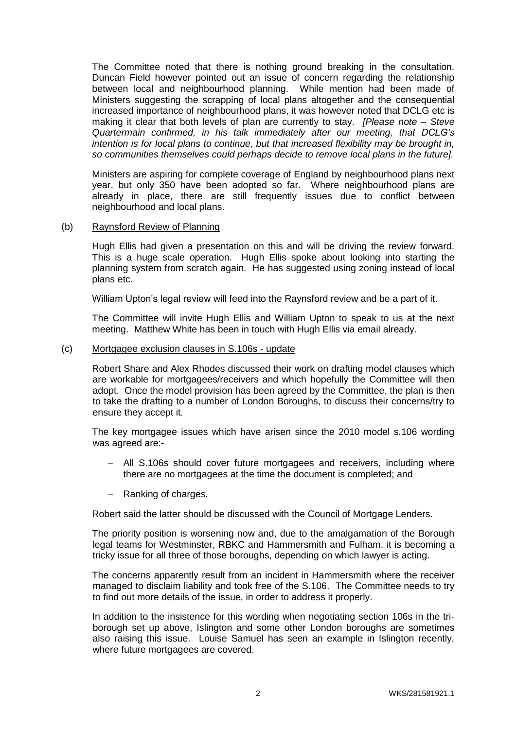The Committee noted that there is nothing ground breaking in the consultation. Duncan Field however pointed out an issue of concern regarding the relationship between local and neighbourhood planning. While mention had been made of Ministers suggesting the scrapping of local plans altogether and the consequential increased importance of neighbourhood plans, it was however noted that DCLG etc is making it clear that both levels of plan are currently to stay. *[Please note – Steve Quartermain confirmed, in his talk immediately after our meeting, that DCLG's intention is for local plans to continue, but that increased flexibility may be brought in, so communities themselves could perhaps decide to remove local plans in the future].*

Ministers are aspiring for complete coverage of England by neighbourhood plans next year, but only 350 have been adopted so far. Where neighbourhood plans are already in place, there are still frequently issues due to conflict between neighbourhood and local plans.

## (b) Raynsford Review of Planning

Hugh Ellis had given a presentation on this and will be driving the review forward. This is a huge scale operation. Hugh Ellis spoke about looking into starting the planning system from scratch again. He has suggested using zoning instead of local plans etc.

William Upton's legal review will feed into the Raynsford review and be a part of it.

The Committee will invite Hugh Ellis and William Upton to speak to us at the next meeting. Matthew White has been in touch with Hugh Ellis via email already.

#### (c) Mortgagee exclusion clauses in S.106s - update

Robert Share and Alex Rhodes discussed their work on drafting model clauses which are workable for mortgagees/receivers and which hopefully the Committee will then adopt. Once the model provision has been agreed by the Committee, the plan is then to take the drafting to a number of London Boroughs, to discuss their concerns/try to ensure they accept it.

The key mortgagee issues which have arisen since the 2010 model s.106 wording was agreed are:-

- All S.106s should cover future mortgagees and receivers, including where there are no mortgagees at the time the document is completed; and
- Ranking of charges.

Robert said the latter should be discussed with the Council of Mortgage Lenders.

The priority position is worsening now and, due to the amalgamation of the Borough legal teams for Westminster, RBKC and Hammersmith and Fulham, it is becoming a tricky issue for all three of those boroughs, depending on which lawyer is acting.

The concerns apparently result from an incident in Hammersmith where the receiver managed to disclaim liability and took free of the S.106. The Committee needs to try to find out more details of the issue, in order to address it properly.

In addition to the insistence for this wording when negotiating section 106s in the triborough set up above, Islington and some other London boroughs are sometimes also raising this issue. Louise Samuel has seen an example in Islington recently, where future mortgagees are covered.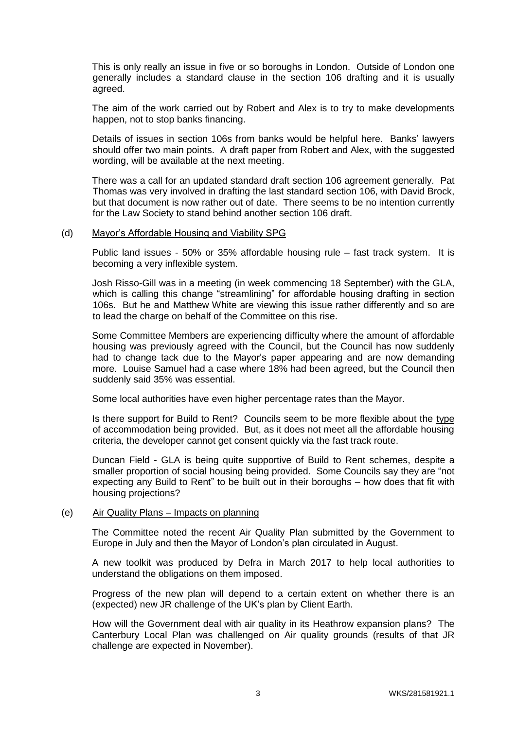This is only really an issue in five or so boroughs in London. Outside of London one generally includes a standard clause in the section 106 drafting and it is usually agreed.

The aim of the work carried out by Robert and Alex is to try to make developments happen, not to stop banks financing.

Details of issues in section 106s from banks would be helpful here. Banks' lawyers should offer two main points. A draft paper from Robert and Alex, with the suggested wording, will be available at the next meeting.

There was a call for an updated standard draft section 106 agreement generally. Pat Thomas was very involved in drafting the last standard section 106, with David Brock, but that document is now rather out of date. There seems to be no intention currently for the Law Society to stand behind another section 106 draft.

#### (d) Mayor's Affordable Housing and Viability SPG

Public land issues - 50% or 35% affordable housing rule – fast track system. It is becoming a very inflexible system.

Josh Risso-Gill was in a meeting (in week commencing 18 September) with the GLA, which is calling this change "streamlining" for affordable housing drafting in section 106s. But he and Matthew White are viewing this issue rather differently and so are to lead the charge on behalf of the Committee on this rise.

Some Committee Members are experiencing difficulty where the amount of affordable housing was previously agreed with the Council, but the Council has now suddenly had to change tack due to the Mayor's paper appearing and are now demanding more. Louise Samuel had a case where 18% had been agreed, but the Council then suddenly said 35% was essential.

Some local authorities have even higher percentage rates than the Mayor.

Is there support for Build to Rent? Councils seem to be more flexible about the type of accommodation being provided. But, as it does not meet all the affordable housing criteria, the developer cannot get consent quickly via the fast track route.

Duncan Field - GLA is being quite supportive of Build to Rent schemes, despite a smaller proportion of social housing being provided. Some Councils say they are "not expecting any Build to Rent" to be built out in their boroughs – how does that fit with housing projections?

## (e) Air Quality Plans – Impacts on planning

The Committee noted the recent Air Quality Plan submitted by the Government to Europe in July and then the Mayor of London's plan circulated in August.

A new toolkit was produced by Defra in March 2017 to help local authorities to understand the obligations on them imposed.

Progress of the new plan will depend to a certain extent on whether there is an (expected) new JR challenge of the UK's plan by Client Earth.

How will the Government deal with air quality in its Heathrow expansion plans? The Canterbury Local Plan was challenged on Air quality grounds (results of that JR challenge are expected in November).